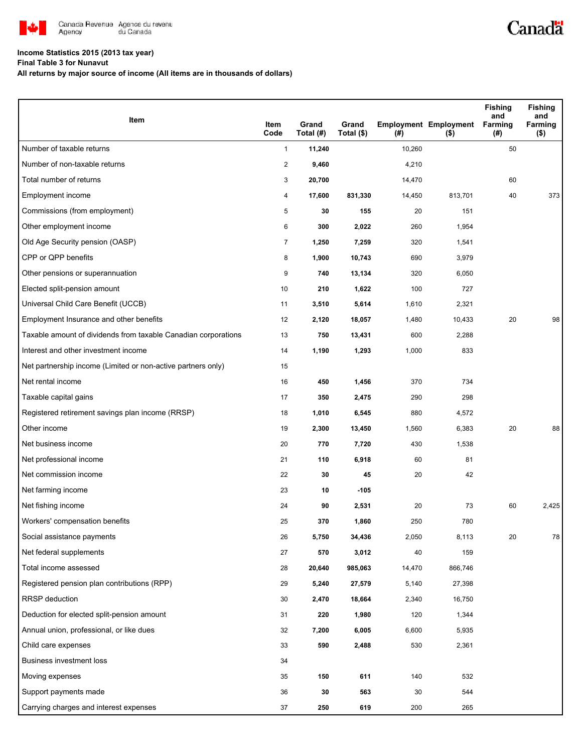

## **Income Statistics 2015 (2013 tax year)**

**Final Table 3 for Nunavut**

**All returns by major source of income (All items are in thousands of dollars)**

| Item                                                           | Item<br>Code   | Grand               | Grand      |               | <b>Employment Employment</b> | <b>Fishing</b><br>and<br>Farming | <b>Fishing</b><br>and<br>Farming |
|----------------------------------------------------------------|----------------|---------------------|------------|---------------|------------------------------|----------------------------------|----------------------------------|
| Number of taxable returns                                      | $\mathbf{1}$   | Total (#)<br>11,240 | Total (\$) | (#)<br>10,260 | $($ \$)                      | (#)<br>50                        | ( \$)                            |
| Number of non-taxable returns                                  | $\overline{2}$ | 9,460               |            | 4,210         |                              |                                  |                                  |
| Total number of returns                                        | 3              | 20,700              |            | 14,470        |                              | 60                               |                                  |
| Employment income                                              | 4              | 17,600              | 831,330    | 14,450        | 813,701                      | 40                               | 373                              |
| Commissions (from employment)                                  | 5              | 30                  | 155        | 20            | 151                          |                                  |                                  |
| Other employment income                                        | 6              | 300                 | 2,022      | 260           | 1,954                        |                                  |                                  |
| Old Age Security pension (OASP)                                | 7              | 1,250               | 7,259      | 320           | 1,541                        |                                  |                                  |
| CPP or QPP benefits                                            | 8              | 1,900               | 10,743     | 690           | 3,979                        |                                  |                                  |
| Other pensions or superannuation                               | 9              | 740                 | 13,134     | 320           | 6,050                        |                                  |                                  |
| Elected split-pension amount                                   | 10             | 210                 | 1,622      | 100           | 727                          |                                  |                                  |
| Universal Child Care Benefit (UCCB)                            | 11             | 3,510               | 5,614      | 1,610         | 2,321                        |                                  |                                  |
| Employment Insurance and other benefits                        | 12             | 2,120               | 18,057     | 1,480         | 10,433                       | 20                               | 98                               |
| Taxable amount of dividends from taxable Canadian corporations | 13             | 750                 | 13,431     | 600           | 2,288                        |                                  |                                  |
| Interest and other investment income                           | 14             | 1,190               | 1,293      | 1,000         | 833                          |                                  |                                  |
| Net partnership income (Limited or non-active partners only)   | 15             |                     |            |               |                              |                                  |                                  |
| Net rental income                                              | 16             | 450                 | 1,456      | 370           | 734                          |                                  |                                  |
| Taxable capital gains                                          | 17             | 350                 | 2,475      | 290           | 298                          |                                  |                                  |
| Registered retirement savings plan income (RRSP)               | 18             | 1,010               | 6,545      | 880           | 4,572                        |                                  |                                  |
| Other income                                                   | 19             | 2,300               | 13,450     | 1,560         | 6,383                        | 20                               | 88                               |
| Net business income                                            | 20             | 770                 | 7,720      | 430           | 1,538                        |                                  |                                  |
| Net professional income                                        | 21             | 110                 | 6,918      | 60            | 81                           |                                  |                                  |
| Net commission income                                          | 22             | 30                  | 45         | 20            | 42                           |                                  |                                  |
| Net farming income                                             | 23             | 10                  | $-105$     |               |                              |                                  |                                  |
| Net fishing income                                             | 24             | 90                  | 2,531      | 20            | 73                           | 60                               | 2,425                            |
| Workers' compensation benefits                                 | 25             | 370                 | 1,860      | 250           | 780                          |                                  |                                  |
| Social assistance payments                                     | 26             | 5,750               | 34,436     | 2,050         | 8,113                        | 20                               | 78                               |
| Net federal supplements                                        | 27             | 570                 | 3,012      | 40            | 159                          |                                  |                                  |
| Total income assessed                                          | 28             | 20,640              | 985,063    | 14,470        | 866,746                      |                                  |                                  |
| Registered pension plan contributions (RPP)                    | 29             | 5,240               | 27,579     | 5,140         | 27,398                       |                                  |                                  |
| <b>RRSP</b> deduction                                          | 30             | 2,470               | 18,664     | 2,340         | 16,750                       |                                  |                                  |
| Deduction for elected split-pension amount                     | 31             | 220                 | 1,980      | 120           | 1,344                        |                                  |                                  |
| Annual union, professional, or like dues                       | 32             | 7,200               | 6,005      | 6,600         | 5,935                        |                                  |                                  |
| Child care expenses                                            | 33             | 590                 | 2,488      | 530           | 2,361                        |                                  |                                  |
| <b>Business investment loss</b>                                | 34             |                     |            |               |                              |                                  |                                  |
| Moving expenses                                                | 35             | 150                 | 611        | 140           | 532                          |                                  |                                  |
| Support payments made                                          | 36             | 30                  | 563        | 30            | 544                          |                                  |                                  |
| Carrying charges and interest expenses                         | 37             | 250                 | 619        | 200           | 265                          |                                  |                                  |

Canadä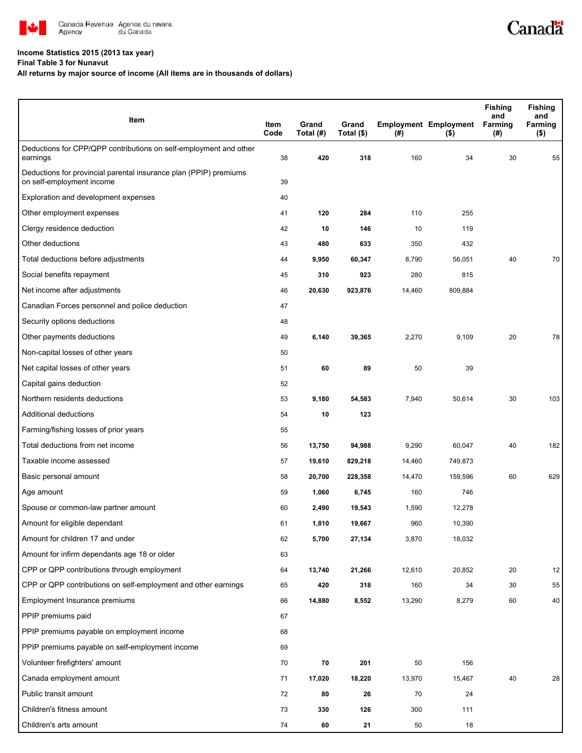

## **Income Statistics 2015 (2013 tax year)**

**Final Table 3 for Nunavut**

## **All returns by major source of income (All items are in thousands of dollars)**

| Item                                                                                           | Item<br>Code | Grand<br>Total (#) | Grand<br>Total (\$) | $($ #) | <b>Employment Employment</b><br>$($ \$) | <b>Fishing</b><br>and<br>Farming<br>(#) | <b>Fishing</b><br>and<br>Farming<br>( \$) |
|------------------------------------------------------------------------------------------------|--------------|--------------------|---------------------|--------|-----------------------------------------|-----------------------------------------|-------------------------------------------|
| Deductions for CPP/QPP contributions on self-employment and other<br>earnings                  | 38           | 420                | 318                 | 160    | 34                                      | 30                                      | 55                                        |
| Deductions for provincial parental insurance plan (PPIP) premiums<br>on self-employment income | 39           |                    |                     |        |                                         |                                         |                                           |
| Exploration and development expenses                                                           | 40           |                    |                     |        |                                         |                                         |                                           |
| Other employment expenses                                                                      | 41           | 120                | 284                 | 110    | 255                                     |                                         |                                           |
| Clergy residence deduction                                                                     | 42           | 10                 | 146                 | 10     | 119                                     |                                         |                                           |
| Other deductions                                                                               | 43           | 480                | 633                 | 350    | 432                                     |                                         |                                           |
| Total deductions before adjustments                                                            | 44           | 9,950              | 60,347              | 8,790  | 56,051                                  | 40                                      | 70                                        |
| Social benefits repayment                                                                      | 45           | 310                | 923                 | 280    | 815                                     |                                         |                                           |
| Net income after adjustments                                                                   | 46           | 20,630             | 923,876             | 14,460 | 809,884                                 |                                         |                                           |
| Canadian Forces personnel and police deduction                                                 | 47           |                    |                     |        |                                         |                                         |                                           |
| Security options deductions                                                                    | 48           |                    |                     |        |                                         |                                         |                                           |
| Other payments deductions                                                                      | 49           | 6,140              | 39,365              | 2,270  | 9,109                                   | 20                                      | 78                                        |
| Non-capital losses of other years                                                              | 50           |                    |                     |        |                                         |                                         |                                           |
| Net capital losses of other years                                                              | 51           | 60                 | 89                  | 50     | 39                                      |                                         |                                           |
| Capital gains deduction                                                                        | 52           |                    |                     |        |                                         |                                         |                                           |
| Northern residents deductions                                                                  | 53           | 9,180              | 54,583              | 7,940  | 50,614                                  | 30                                      | 103                                       |
| Additional deductions                                                                          | 54           | 10                 | 123                 |        |                                         |                                         |                                           |
| Farming/fishing losses of prior years                                                          | 55           |                    |                     |        |                                         |                                         |                                           |
| Total deductions from net income                                                               | 56           | 13,750             | 94,988              | 9,290  | 60,047                                  | 40                                      | 182                                       |
| Taxable income assessed                                                                        | 57           | 19,610             | 829,218             | 14,460 | 749,873                                 |                                         |                                           |
| Basic personal amount                                                                          | 58           | 20,700             | 228,358             | 14,470 | 159,596                                 | 60                                      | 629                                       |
| Age amount                                                                                     | 59           | 1,060              | 6,745               | 160    | 746                                     |                                         |                                           |
| Spouse or common-law partner amount                                                            | 60           | 2,490              | 19,543              | 1,590  | 12,278                                  |                                         |                                           |
| Amount for eligible dependant                                                                  | 61           | 1,810              | 19,667              | 960    | 10,390                                  |                                         |                                           |
| Amount for children 17 and under                                                               | 62           | 5,700              | 27,134              | 3,870  | 18,032                                  |                                         |                                           |
| Amount for infirm dependants age 18 or older                                                   | 63           |                    |                     |        |                                         |                                         |                                           |
| CPP or QPP contributions through employment                                                    | 64           | 13,740             | 21,266              | 12,610 | 20,852                                  | 20                                      | 12                                        |
| CPP or QPP contributions on self-employment and other earnings                                 | 65           | 420                | 318                 | 160    | 34                                      | 30                                      | 55                                        |
| Employment Insurance premiums                                                                  | 66           | 14,880             | 8,552               | 13,290 | 8,279                                   | 60                                      | 40                                        |
| PPIP premiums paid                                                                             | 67           |                    |                     |        |                                         |                                         |                                           |
| PPIP premiums payable on employment income                                                     | 68           |                    |                     |        |                                         |                                         |                                           |
| PPIP premiums payable on self-employment income                                                | 69           |                    |                     |        |                                         |                                         |                                           |
| Volunteer firefighters' amount                                                                 | 70           | 70                 | 201                 | 50     | 156                                     |                                         |                                           |
| Canada employment amount                                                                       | 71           | 17,020             | 18,220              | 13,970 | 15,467                                  | 40                                      | 28                                        |
| Public transit amount                                                                          | 72           | 80                 | 26                  | 70     | 24                                      |                                         |                                           |
| Children's fitness amount                                                                      | 73           | 330                | 126                 | 300    | 111                                     |                                         |                                           |
| Children's arts amount                                                                         | 74           | 60                 | 21                  | 50     | 18                                      |                                         |                                           |

Canadä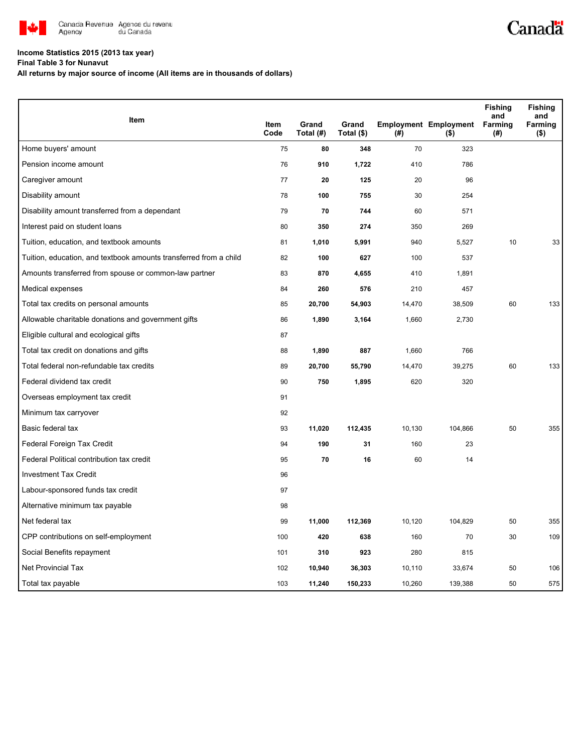

## **Income Statistics 2015 (2013 tax year)**

**Final Table 3 for Nunavut**

**All returns by major source of income (All items are in thousands of dollars)**

| <b>Item</b>                                                       |              |                    |                     |        |                                         | <b>Fishing</b><br>and | <b>Fishing</b><br>and |
|-------------------------------------------------------------------|--------------|--------------------|---------------------|--------|-----------------------------------------|-----------------------|-----------------------|
|                                                                   | Item<br>Code | Grand<br>Total (#) | Grand<br>Total (\$) | (#)    | <b>Employment Employment</b><br>$($ \$) | Farming<br>(#)        | Farming<br>$($ \$)    |
| Home buyers' amount                                               | 75           | 80                 | 348                 | 70     | 323                                     |                       |                       |
| Pension income amount                                             | 76           | 910                | 1,722               | 410    | 786                                     |                       |                       |
| Caregiver amount                                                  | 77           | 20                 | 125                 | 20     | 96                                      |                       |                       |
| Disability amount                                                 | 78           | 100                | 755                 | 30     | 254                                     |                       |                       |
| Disability amount transferred from a dependant                    | 79           | 70                 | 744                 | 60     | 571                                     |                       |                       |
| Interest paid on student loans                                    | 80           | 350                | 274                 | 350    | 269                                     |                       |                       |
| Tuition, education, and textbook amounts                          | 81           | 1,010              | 5,991               | 940    | 5,527                                   | 10                    | 33                    |
| Tuition, education, and textbook amounts transferred from a child | 82           | 100                | 627                 | 100    | 537                                     |                       |                       |
| Amounts transferred from spouse or common-law partner             | 83           | 870                | 4,655               | 410    | 1,891                                   |                       |                       |
| Medical expenses                                                  | 84           | 260                | 576                 | 210    | 457                                     |                       |                       |
| Total tax credits on personal amounts                             | 85           | 20,700             | 54,903              | 14,470 | 38,509                                  | 60                    | 133                   |
| Allowable charitable donations and government gifts               | 86           | 1,890              | 3,164               | 1,660  | 2,730                                   |                       |                       |
| Eligible cultural and ecological gifts                            | 87           |                    |                     |        |                                         |                       |                       |
| Total tax credit on donations and gifts                           | 88           | 1,890              | 887                 | 1,660  | 766                                     |                       |                       |
| Total federal non-refundable tax credits                          | 89           | 20,700             | 55,790              | 14,470 | 39,275                                  | 60                    | 133                   |
| Federal dividend tax credit                                       | 90           | 750                | 1,895               | 620    | 320                                     |                       |                       |
| Overseas employment tax credit                                    | 91           |                    |                     |        |                                         |                       |                       |
| Minimum tax carryover                                             | 92           |                    |                     |        |                                         |                       |                       |
| Basic federal tax                                                 | 93           | 11,020             | 112,435             | 10,130 | 104,866                                 | 50                    | 355                   |
| Federal Foreign Tax Credit                                        | 94           | 190                | 31                  | 160    | 23                                      |                       |                       |
| Federal Political contribution tax credit                         | 95           | 70                 | 16                  | 60     | 14                                      |                       |                       |
| <b>Investment Tax Credit</b>                                      | 96           |                    |                     |        |                                         |                       |                       |
| Labour-sponsored funds tax credit                                 | 97           |                    |                     |        |                                         |                       |                       |
| Alternative minimum tax payable                                   | 98           |                    |                     |        |                                         |                       |                       |
| Net federal tax                                                   | 99           | 11,000             | 112,369             | 10,120 | 104,829                                 | 50                    | 355                   |
| CPP contributions on self-employment                              | 100          | 420                | 638                 | 160    | 70                                      | 30                    | 109                   |
| Social Benefits repayment                                         | 101          | 310                | 923                 | 280    | 815                                     |                       |                       |
| Net Provincial Tax                                                | 102          | 10,940             | 36,303              | 10,110 | 33,674                                  | 50                    | 106                   |
| Total tax payable                                                 | 103          | 11,240             | 150,233             | 10,260 | 139,388                                 | 50                    | 575                   |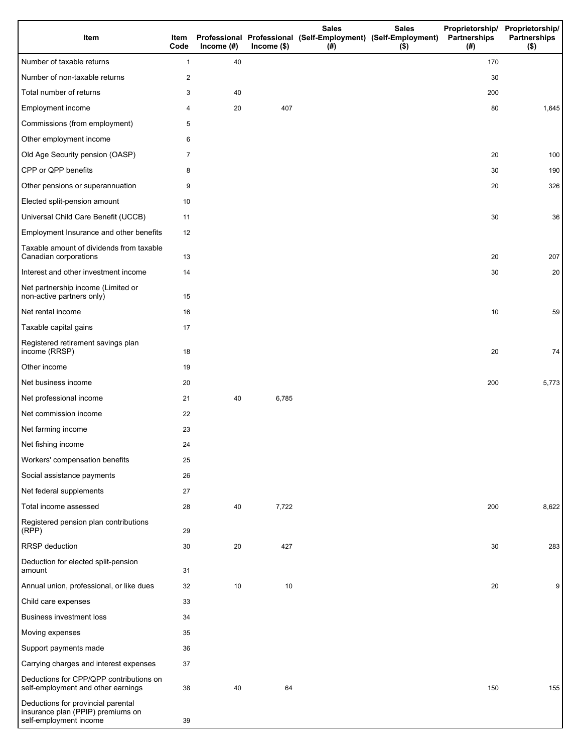| Item                                                                                              | Item<br>Code   | Income $(#)$ | $lncome$ (\$) | <b>Sales</b><br>(#) | <b>Sales</b><br>Professional Professional (Self-Employment) (Self-Employment)<br>$($ \$) | Partnerships<br>(#) | Proprietorship/ Proprietorship/<br><b>Partnerships</b><br>$($ \$) |
|---------------------------------------------------------------------------------------------------|----------------|--------------|---------------|---------------------|------------------------------------------------------------------------------------------|---------------------|-------------------------------------------------------------------|
| Number of taxable returns                                                                         | $\mathbf{1}$   | 40           |               |                     |                                                                                          | 170                 |                                                                   |
| Number of non-taxable returns                                                                     | 2              |              |               |                     |                                                                                          | 30                  |                                                                   |
| Total number of returns                                                                           | 3              | 40           |               |                     |                                                                                          | 200                 |                                                                   |
| Employment income                                                                                 | 4              | 20           | 407           |                     |                                                                                          | 80                  | 1,645                                                             |
| Commissions (from employment)                                                                     | 5              |              |               |                     |                                                                                          |                     |                                                                   |
| Other employment income                                                                           | 6              |              |               |                     |                                                                                          |                     |                                                                   |
| Old Age Security pension (OASP)                                                                   | $\overline{7}$ |              |               |                     |                                                                                          | 20                  | 100                                                               |
| CPP or QPP benefits                                                                               | 8              |              |               |                     |                                                                                          | 30                  | 190                                                               |
| Other pensions or superannuation                                                                  | 9              |              |               |                     |                                                                                          | 20                  | 326                                                               |
| Elected split-pension amount                                                                      | 10             |              |               |                     |                                                                                          |                     |                                                                   |
| Universal Child Care Benefit (UCCB)                                                               | 11             |              |               |                     |                                                                                          | 30                  | 36                                                                |
| Employment Insurance and other benefits                                                           | 12             |              |               |                     |                                                                                          |                     |                                                                   |
| Taxable amount of dividends from taxable<br>Canadian corporations                                 | 13             |              |               |                     |                                                                                          | 20                  | 207                                                               |
| Interest and other investment income                                                              | 14             |              |               |                     |                                                                                          | 30                  | 20                                                                |
| Net partnership income (Limited or<br>non-active partners only)                                   | 15             |              |               |                     |                                                                                          |                     |                                                                   |
| Net rental income                                                                                 | 16             |              |               |                     |                                                                                          | 10                  | 59                                                                |
| Taxable capital gains                                                                             | 17             |              |               |                     |                                                                                          |                     |                                                                   |
| Registered retirement savings plan<br>income (RRSP)                                               | 18             |              |               |                     |                                                                                          | 20                  | 74                                                                |
| Other income                                                                                      | 19             |              |               |                     |                                                                                          |                     |                                                                   |
| Net business income                                                                               | 20             |              |               |                     |                                                                                          | 200                 | 5,773                                                             |
| Net professional income                                                                           | 21             | 40           | 6,785         |                     |                                                                                          |                     |                                                                   |
| Net commission income                                                                             | 22             |              |               |                     |                                                                                          |                     |                                                                   |
| Net farming income                                                                                | 23             |              |               |                     |                                                                                          |                     |                                                                   |
| Net fishing income                                                                                | 24             |              |               |                     |                                                                                          |                     |                                                                   |
| Workers' compensation benefits                                                                    | 25             |              |               |                     |                                                                                          |                     |                                                                   |
| Social assistance payments                                                                        | 26             |              |               |                     |                                                                                          |                     |                                                                   |
| Net federal supplements                                                                           | 27             |              |               |                     |                                                                                          |                     |                                                                   |
| Total income assessed                                                                             | 28             | 40           | 7,722         |                     |                                                                                          | 200                 | 8,622                                                             |
| Registered pension plan contributions<br>(RPP)                                                    | 29             |              |               |                     |                                                                                          |                     |                                                                   |
| RRSP deduction                                                                                    | 30             | 20           | 427           |                     |                                                                                          | 30                  | 283                                                               |
| Deduction for elected split-pension<br>amount                                                     | 31             |              |               |                     |                                                                                          |                     |                                                                   |
| Annual union, professional, or like dues                                                          | 32             | 10           | 10            |                     |                                                                                          | 20                  | 9                                                                 |
| Child care expenses                                                                               | 33             |              |               |                     |                                                                                          |                     |                                                                   |
| Business investment loss                                                                          | 34             |              |               |                     |                                                                                          |                     |                                                                   |
| Moving expenses                                                                                   | 35             |              |               |                     |                                                                                          |                     |                                                                   |
| Support payments made                                                                             | 36             |              |               |                     |                                                                                          |                     |                                                                   |
| Carrying charges and interest expenses                                                            | 37             |              |               |                     |                                                                                          |                     |                                                                   |
| Deductions for CPP/QPP contributions on<br>self-employment and other earnings                     | 38             | 40           | 64            |                     |                                                                                          | 150                 | 155                                                               |
| Deductions for provincial parental<br>insurance plan (PPIP) premiums on<br>self-employment income | 39             |              |               |                     |                                                                                          |                     |                                                                   |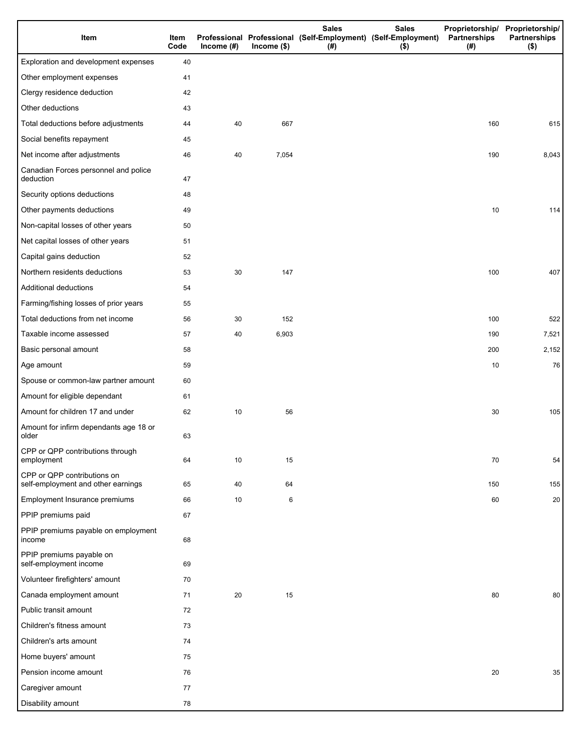| Item                                                              | Item<br>Code | Income $(#)$ | $Income$ (\$) | <b>Sales</b><br>Professional Professional (Self-Employment) (Self-Employment)<br>(# ) | <b>Sales</b><br>$($ \$) | Partnerships<br>(# ) | Proprietorship/ Proprietorship/<br><b>Partnerships</b><br>$($ \$) |
|-------------------------------------------------------------------|--------------|--------------|---------------|---------------------------------------------------------------------------------------|-------------------------|----------------------|-------------------------------------------------------------------|
| Exploration and development expenses                              | 40           |              |               |                                                                                       |                         |                      |                                                                   |
| Other employment expenses                                         | 41           |              |               |                                                                                       |                         |                      |                                                                   |
| Clergy residence deduction                                        | 42           |              |               |                                                                                       |                         |                      |                                                                   |
| Other deductions                                                  | 43           |              |               |                                                                                       |                         |                      |                                                                   |
| Total deductions before adjustments                               | 44           | 40           | 667           |                                                                                       |                         | 160                  | 615                                                               |
| Social benefits repayment                                         | 45           |              |               |                                                                                       |                         |                      |                                                                   |
| Net income after adjustments                                      | 46           | 40           | 7,054         |                                                                                       |                         | 190                  | 8,043                                                             |
| Canadian Forces personnel and police<br>deduction                 | 47           |              |               |                                                                                       |                         |                      |                                                                   |
| Security options deductions                                       | 48           |              |               |                                                                                       |                         |                      |                                                                   |
| Other payments deductions                                         | 49           |              |               |                                                                                       |                         | 10                   | 114                                                               |
| Non-capital losses of other years                                 | 50           |              |               |                                                                                       |                         |                      |                                                                   |
| Net capital losses of other years                                 | 51           |              |               |                                                                                       |                         |                      |                                                                   |
| Capital gains deduction                                           | 52           |              |               |                                                                                       |                         |                      |                                                                   |
| Northern residents deductions                                     | 53           | 30           | 147           |                                                                                       |                         | 100                  | 407                                                               |
| Additional deductions                                             | 54           |              |               |                                                                                       |                         |                      |                                                                   |
| Farming/fishing losses of prior years                             | 55           |              |               |                                                                                       |                         |                      |                                                                   |
| Total deductions from net income                                  | 56           | 30           | 152           |                                                                                       |                         | 100                  | 522                                                               |
| Taxable income assessed                                           | 57           | 40           | 6,903         |                                                                                       |                         | 190                  | 7,521                                                             |
| Basic personal amount                                             | 58           |              |               |                                                                                       |                         | 200                  | 2,152                                                             |
| Age amount                                                        | 59           |              |               |                                                                                       |                         | 10                   | 76                                                                |
| Spouse or common-law partner amount                               | 60           |              |               |                                                                                       |                         |                      |                                                                   |
| Amount for eligible dependant                                     | 61           |              |               |                                                                                       |                         |                      |                                                                   |
| Amount for children 17 and under                                  | 62           | 10           | 56            |                                                                                       |                         | 30                   | 105                                                               |
| Amount for infirm dependants age 18 or<br>older                   | 63           |              |               |                                                                                       |                         |                      |                                                                   |
| CPP or QPP contributions through<br>employment                    | 64           | 10           | 15            |                                                                                       |                         | 70                   | 54                                                                |
| CPP or QPP contributions on<br>self-employment and other earnings | 65           | 40           | 64            |                                                                                       |                         | 150                  | 155                                                               |
| Employment Insurance premiums                                     | 66           | 10           | 6             |                                                                                       |                         | 60                   | 20                                                                |
| PPIP premiums paid                                                | 67           |              |               |                                                                                       |                         |                      |                                                                   |
| PPIP premiums payable on employment<br>income                     | 68           |              |               |                                                                                       |                         |                      |                                                                   |
| PPIP premiums payable on<br>self-employment income                | 69           |              |               |                                                                                       |                         |                      |                                                                   |
| Volunteer firefighters' amount                                    | 70           |              |               |                                                                                       |                         |                      |                                                                   |
| Canada employment amount                                          | 71           | 20           | 15            |                                                                                       |                         | 80                   | 80                                                                |
| Public transit amount                                             | 72           |              |               |                                                                                       |                         |                      |                                                                   |
| Children's fitness amount                                         | 73           |              |               |                                                                                       |                         |                      |                                                                   |
| Children's arts amount                                            | 74           |              |               |                                                                                       |                         |                      |                                                                   |
| Home buyers' amount                                               | 75           |              |               |                                                                                       |                         |                      |                                                                   |
| Pension income amount                                             | 76           |              |               |                                                                                       |                         | 20                   | 35                                                                |
| Caregiver amount                                                  | 77           |              |               |                                                                                       |                         |                      |                                                                   |
| Disability amount                                                 | 78           |              |               |                                                                                       |                         |                      |                                                                   |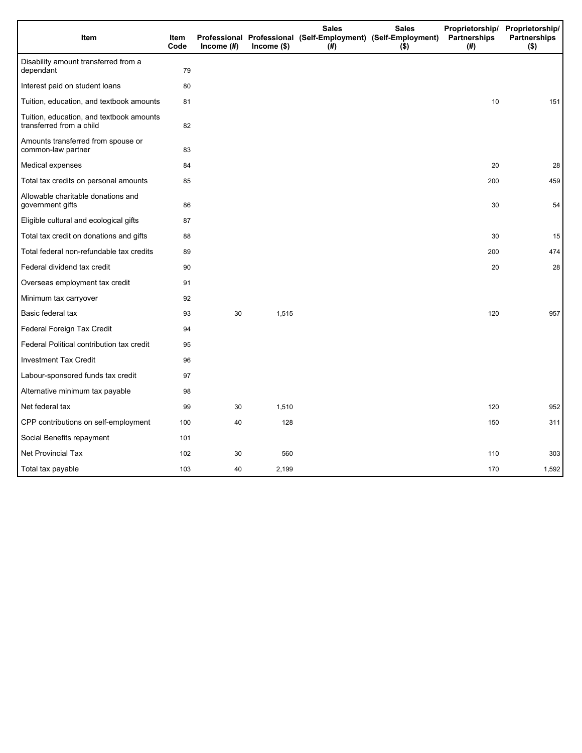| Item                                                                 | Item<br>Code | Income $(H)$ | $Income$ (\$) | <b>Sales</b><br>Professional Professional (Self-Employment) (Self-Employment)<br>(#) | <b>Sales</b><br>$($ \$) | Partnerships<br>(#) | Proprietorship/ Proprietorship/<br><b>Partnerships</b><br>$($ \$) |
|----------------------------------------------------------------------|--------------|--------------|---------------|--------------------------------------------------------------------------------------|-------------------------|---------------------|-------------------------------------------------------------------|
| Disability amount transferred from a<br>dependant                    | 79           |              |               |                                                                                      |                         |                     |                                                                   |
| Interest paid on student loans                                       | 80           |              |               |                                                                                      |                         |                     |                                                                   |
| Tuition, education, and textbook amounts                             | 81           |              |               |                                                                                      |                         | 10                  | 151                                                               |
| Tuition, education, and textbook amounts<br>transferred from a child | 82           |              |               |                                                                                      |                         |                     |                                                                   |
| Amounts transferred from spouse or<br>common-law partner             | 83           |              |               |                                                                                      |                         |                     |                                                                   |
| Medical expenses                                                     | 84           |              |               |                                                                                      |                         | 20                  | 28                                                                |
| Total tax credits on personal amounts                                | 85           |              |               |                                                                                      |                         | 200                 | 459                                                               |
| Allowable charitable donations and<br>government gifts               | 86           |              |               |                                                                                      |                         | 30                  | 54                                                                |
| Eligible cultural and ecological gifts                               | 87           |              |               |                                                                                      |                         |                     |                                                                   |
| Total tax credit on donations and gifts                              | 88           |              |               |                                                                                      |                         | 30                  | 15                                                                |
| Total federal non-refundable tax credits                             | 89           |              |               |                                                                                      |                         | 200                 | 474                                                               |
| Federal dividend tax credit                                          | 90           |              |               |                                                                                      |                         | 20                  | 28                                                                |
| Overseas employment tax credit                                       | 91           |              |               |                                                                                      |                         |                     |                                                                   |
| Minimum tax carryover                                                | 92           |              |               |                                                                                      |                         |                     |                                                                   |
| Basic federal tax                                                    | 93           | 30           | 1,515         |                                                                                      |                         | 120                 | 957                                                               |
| Federal Foreign Tax Credit                                           | 94           |              |               |                                                                                      |                         |                     |                                                                   |
| Federal Political contribution tax credit                            | 95           |              |               |                                                                                      |                         |                     |                                                                   |
| <b>Investment Tax Credit</b>                                         | 96           |              |               |                                                                                      |                         |                     |                                                                   |
| Labour-sponsored funds tax credit                                    | 97           |              |               |                                                                                      |                         |                     |                                                                   |
| Alternative minimum tax payable                                      | 98           |              |               |                                                                                      |                         |                     |                                                                   |
| Net federal tax                                                      | 99           | 30           | 1,510         |                                                                                      |                         | 120                 | 952                                                               |
| CPP contributions on self-employment                                 | 100          | 40           | 128           |                                                                                      |                         | 150                 | 311                                                               |
| Social Benefits repayment                                            | 101          |              |               |                                                                                      |                         |                     |                                                                   |
| Net Provincial Tax                                                   | 102          | 30           | 560           |                                                                                      |                         | 110                 | 303                                                               |
| Total tax payable                                                    | 103          | 40           | 2,199         |                                                                                      |                         | 170                 | 1,592                                                             |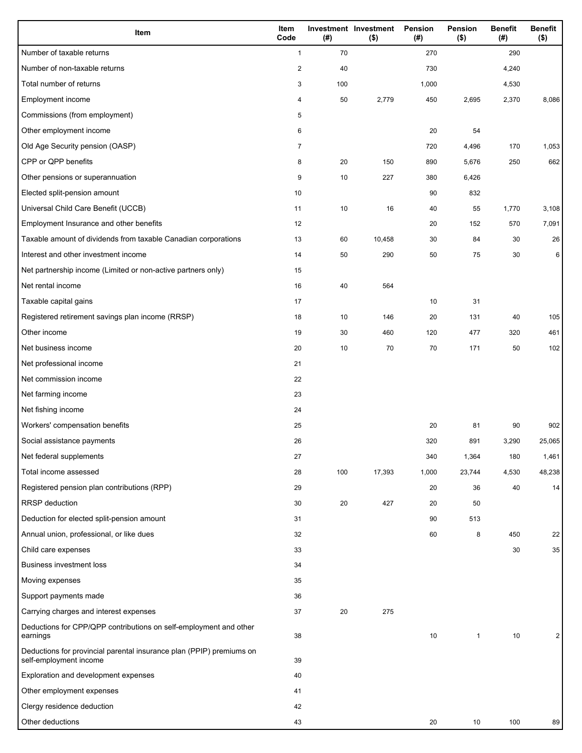| Item                                                                                           | Item<br>Code   | (#) | Investment Investment<br>$($ \$) | Pension<br>(#) | Pension<br>$($ \$) | <b>Benefit</b><br>(#) | <b>Benefit</b><br>$($ \$) |
|------------------------------------------------------------------------------------------------|----------------|-----|----------------------------------|----------------|--------------------|-----------------------|---------------------------|
| Number of taxable returns                                                                      | $\mathbf{1}$   | 70  |                                  | 270            |                    | 290                   |                           |
| Number of non-taxable returns                                                                  | $\overline{c}$ | 40  |                                  | 730            |                    | 4,240                 |                           |
| Total number of returns                                                                        | 3              | 100 |                                  | 1,000          |                    | 4,530                 |                           |
| Employment income                                                                              | 4              | 50  | 2,779                            | 450            | 2,695              | 2,370                 | 8,086                     |
| Commissions (from employment)                                                                  | 5              |     |                                  |                |                    |                       |                           |
| Other employment income                                                                        | 6              |     |                                  | 20             | 54                 |                       |                           |
| Old Age Security pension (OASP)                                                                | $\overline{7}$ |     |                                  | 720            | 4,496              | 170                   | 1,053                     |
| CPP or QPP benefits                                                                            | 8              | 20  | 150                              | 890            | 5,676              | 250                   | 662                       |
| Other pensions or superannuation                                                               | 9              | 10  | 227                              | 380            | 6,426              |                       |                           |
| Elected split-pension amount                                                                   | 10             |     |                                  | 90             | 832                |                       |                           |
| Universal Child Care Benefit (UCCB)                                                            | 11             | 10  | 16                               | 40             | 55                 | 1,770                 | 3,108                     |
| Employment Insurance and other benefits                                                        | 12             |     |                                  | 20             | 152                | 570                   | 7,091                     |
| Taxable amount of dividends from taxable Canadian corporations                                 | 13             | 60  | 10,458                           | 30             | 84                 | 30                    | 26                        |
| Interest and other investment income                                                           | 14             | 50  | 290                              | 50             | 75                 | 30                    | 6                         |
| Net partnership income (Limited or non-active partners only)                                   | 15             |     |                                  |                |                    |                       |                           |
| Net rental income                                                                              | 16             | 40  | 564                              |                |                    |                       |                           |
| Taxable capital gains                                                                          | 17             |     |                                  | 10             | 31                 |                       |                           |
| Registered retirement savings plan income (RRSP)                                               | 18             | 10  | 146                              | 20             | 131                | 40                    | 105                       |
| Other income                                                                                   | 19             | 30  | 460                              | 120            | 477                | 320                   | 461                       |
| Net business income                                                                            | 20             | 10  | 70                               | 70             | 171                | 50                    | 102                       |
| Net professional income                                                                        | 21             |     |                                  |                |                    |                       |                           |
| Net commission income                                                                          | 22             |     |                                  |                |                    |                       |                           |
| Net farming income                                                                             | 23             |     |                                  |                |                    |                       |                           |
| Net fishing income                                                                             | 24             |     |                                  |                |                    |                       |                           |
| Workers' compensation benefits                                                                 | 25             |     |                                  | 20             | 81                 | 90                    | 902                       |
| Social assistance payments                                                                     | 26             |     |                                  | 320            | 891                | 3,290                 | 25,065                    |
| Net federal supplements                                                                        | 27             |     |                                  | 340            | 1,364              | 180                   | 1,461                     |
| Total income assessed                                                                          | 28             | 100 | 17,393                           | 1,000          | 23,744             | 4,530                 | 48,238                    |
| Registered pension plan contributions (RPP)                                                    | 29             |     |                                  | 20             | 36                 | 40                    | 14                        |
| RRSP deduction                                                                                 | 30             | 20  | 427                              | 20             | 50                 |                       |                           |
| Deduction for elected split-pension amount                                                     | 31             |     |                                  | 90             | 513                |                       |                           |
| Annual union, professional, or like dues                                                       | 32             |     |                                  | 60             | 8                  | 450                   | 22                        |
| Child care expenses                                                                            | 33             |     |                                  |                |                    | 30                    | $35\,$                    |
| <b>Business investment loss</b>                                                                | 34             |     |                                  |                |                    |                       |                           |
| Moving expenses                                                                                | 35             |     |                                  |                |                    |                       |                           |
| Support payments made                                                                          | 36             |     |                                  |                |                    |                       |                           |
| Carrying charges and interest expenses                                                         | 37             | 20  | 275                              |                |                    |                       |                           |
| Deductions for CPP/QPP contributions on self-employment and other                              |                |     |                                  |                |                    |                       |                           |
| earnings                                                                                       | 38             |     |                                  | 10             | $\mathbf{1}$       | 10                    | 2                         |
| Deductions for provincial parental insurance plan (PPIP) premiums on<br>self-employment income | 39             |     |                                  |                |                    |                       |                           |
| Exploration and development expenses                                                           | 40             |     |                                  |                |                    |                       |                           |
| Other employment expenses                                                                      | 41             |     |                                  |                |                    |                       |                           |
| Clergy residence deduction                                                                     | 42             |     |                                  |                |                    |                       |                           |
| Other deductions                                                                               | 43             |     |                                  | 20             | 10                 | 100                   | 89                        |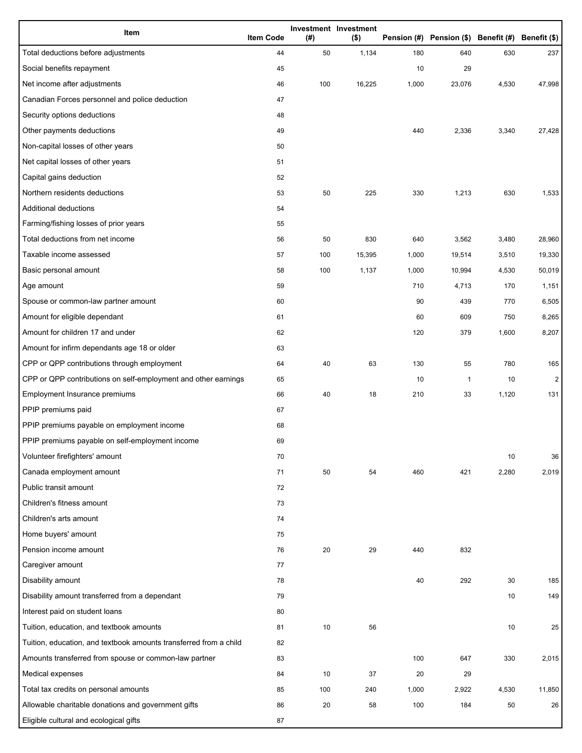| Item                                                              | <b>Item Code</b> | (#) | Investment Investment<br>$($ \$) |       | Pension (#) Pension (\$) Benefit (#) Benefit (\$) |       |              |
|-------------------------------------------------------------------|------------------|-----|----------------------------------|-------|---------------------------------------------------|-------|--------------|
| Total deductions before adjustments                               | 44               | 50  | 1,134                            | 180   | 640                                               | 630   | 237          |
| Social benefits repayment                                         | 45               |     |                                  | 10    | 29                                                |       |              |
| Net income after adjustments                                      | 46               | 100 | 16,225                           | 1,000 | 23,076                                            | 4,530 | 47,998       |
| Canadian Forces personnel and police deduction                    | 47               |     |                                  |       |                                                   |       |              |
| Security options deductions                                       | 48               |     |                                  |       |                                                   |       |              |
| Other payments deductions                                         | 49               |     |                                  | 440   | 2,336                                             | 3,340 | 27,428       |
| Non-capital losses of other years                                 | 50               |     |                                  |       |                                                   |       |              |
| Net capital losses of other years                                 | 51               |     |                                  |       |                                                   |       |              |
| Capital gains deduction                                           | 52               |     |                                  |       |                                                   |       |              |
| Northern residents deductions                                     | 53               | 50  | 225                              | 330   | 1,213                                             | 630   | 1,533        |
| Additional deductions                                             | 54               |     |                                  |       |                                                   |       |              |
| Farming/fishing losses of prior years                             | 55               |     |                                  |       |                                                   |       |              |
| Total deductions from net income                                  | 56               | 50  | 830                              | 640   | 3,562                                             | 3,480 | 28,960       |
| Taxable income assessed                                           | 57               | 100 | 15,395                           | 1,000 | 19,514                                            | 3,510 | 19,330       |
| Basic personal amount                                             | 58               | 100 | 1,137                            | 1,000 | 10,994                                            | 4,530 | 50,019       |
| Age amount                                                        | 59               |     |                                  | 710   | 4,713                                             | 170   | 1,151        |
| Spouse or common-law partner amount                               | 60               |     |                                  | 90    | 439                                               | 770   | 6,505        |
| Amount for eligible dependant                                     | 61               |     |                                  | 60    | 609                                               | 750   | 8,265        |
| Amount for children 17 and under                                  | 62               |     |                                  | 120   | 379                                               | 1,600 | 8,207        |
| Amount for infirm dependants age 18 or older                      | 63               |     |                                  |       |                                                   |       |              |
| CPP or QPP contributions through employment                       | 64               | 40  | 63                               | 130   | 55                                                | 780   | 165          |
| CPP or QPP contributions on self-employment and other earnings    | 65               |     |                                  | 10    | 1                                                 | 10    | $\mathbf{2}$ |
| Employment Insurance premiums                                     | 66               | 40  | 18                               | 210   | 33                                                | 1,120 | 131          |
| PPIP premiums paid                                                | 67               |     |                                  |       |                                                   |       |              |
| PPIP premiums payable on employment income                        | 68               |     |                                  |       |                                                   |       |              |
| PPIP premiums payable on self-employment income                   | 69               |     |                                  |       |                                                   |       |              |
| Volunteer firefighters' amount                                    | 70               |     |                                  |       |                                                   | 10    | 36           |
| Canada employment amount                                          | 71               | 50  | 54                               | 460   | 421                                               | 2,280 | 2,019        |
| Public transit amount                                             | 72               |     |                                  |       |                                                   |       |              |
| Children's fitness amount                                         | 73               |     |                                  |       |                                                   |       |              |
| Children's arts amount                                            | 74               |     |                                  |       |                                                   |       |              |
| Home buyers' amount                                               | 75               |     |                                  |       |                                                   |       |              |
| Pension income amount                                             | 76               | 20  | 29                               | 440   | 832                                               |       |              |
| Caregiver amount                                                  | 77               |     |                                  |       |                                                   |       |              |
| Disability amount                                                 | 78               |     |                                  | 40    | 292                                               | 30    | 185          |
| Disability amount transferred from a dependant                    | 79               |     |                                  |       |                                                   | 10    | 149          |
| Interest paid on student loans                                    | 80               |     |                                  |       |                                                   |       |              |
| Tuition, education, and textbook amounts                          | 81               | 10  | 56                               |       |                                                   | 10    | 25           |
| Tuition, education, and textbook amounts transferred from a child | 82               |     |                                  |       |                                                   |       |              |
| Amounts transferred from spouse or common-law partner             | 83               |     |                                  | 100   | 647                                               | 330   | 2,015        |
| Medical expenses                                                  | 84               | 10  | 37                               | 20    | 29                                                |       |              |
| Total tax credits on personal amounts                             | 85               | 100 | 240                              | 1,000 | 2,922                                             | 4,530 | 11,850       |
| Allowable charitable donations and government gifts               | 86               | 20  | 58                               | 100   | 184                                               | 50    | 26           |
| Eligible cultural and ecological gifts                            | 87               |     |                                  |       |                                                   |       |              |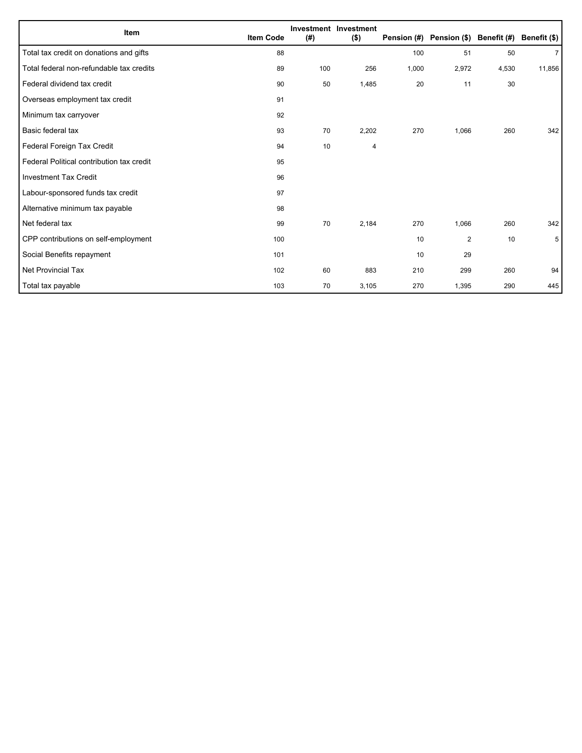| Item                                      | <b>Item Code</b> | (#) | Investment Investment<br>$($ \$) |       | Pension (#) Pension (\$) Benefit (#) |       | Benefit (\$)   |
|-------------------------------------------|------------------|-----|----------------------------------|-------|--------------------------------------|-------|----------------|
|                                           |                  |     |                                  |       |                                      |       |                |
| Total tax credit on donations and gifts   | 88               |     |                                  | 100   | 51                                   | 50    | $\overline{7}$ |
| Total federal non-refundable tax credits  | 89               | 100 | 256                              | 1,000 | 2,972                                | 4,530 | 11,856         |
| Federal dividend tax credit               | 90               | 50  | 1,485                            | 20    | 11                                   | 30    |                |
| Overseas employment tax credit            | 91               |     |                                  |       |                                      |       |                |
| Minimum tax carryover                     | 92               |     |                                  |       |                                      |       |                |
| Basic federal tax                         | 93               | 70  | 2,202                            | 270   | 1,066                                | 260   | 342            |
| Federal Foreign Tax Credit                | 94               | 10  | 4                                |       |                                      |       |                |
| Federal Political contribution tax credit | 95               |     |                                  |       |                                      |       |                |
| <b>Investment Tax Credit</b>              | 96               |     |                                  |       |                                      |       |                |
| Labour-sponsored funds tax credit         | 97               |     |                                  |       |                                      |       |                |
| Alternative minimum tax payable           | 98               |     |                                  |       |                                      |       |                |
| Net federal tax                           | 99               | 70  | 2,184                            | 270   | 1,066                                | 260   | 342            |
| CPP contributions on self-employment      | 100              |     |                                  | 10    | $\overline{2}$                       | 10    | 5              |
| Social Benefits repayment                 | 101              |     |                                  | 10    | 29                                   |       |                |
| Net Provincial Tax                        | 102              | 60  | 883                              | 210   | 299                                  | 260   | 94             |
| Total tax payable                         | 103              | 70  | 3,105                            | 270   | 1,395                                | 290   | 445            |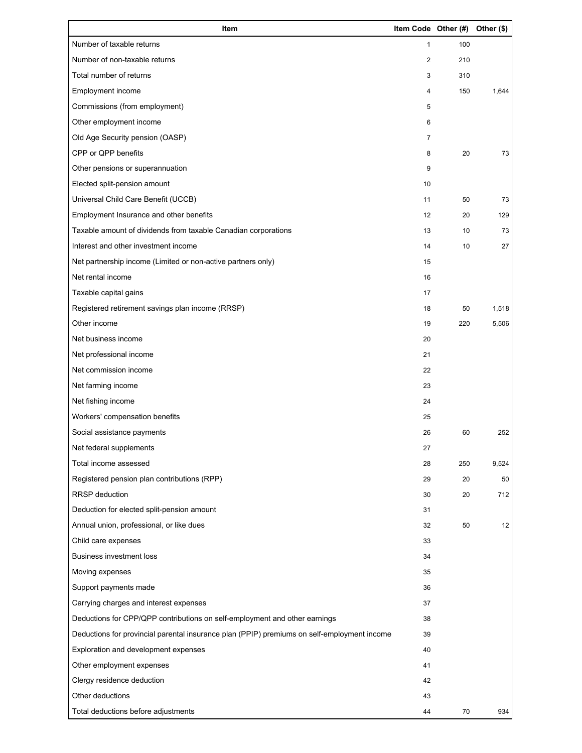| Item                                                                                        | Item Code Other (#) |     | Other (\$) |
|---------------------------------------------------------------------------------------------|---------------------|-----|------------|
| Number of taxable returns                                                                   | $\mathbf{1}$        | 100 |            |
| Number of non-taxable returns                                                               | 2                   | 210 |            |
| Total number of returns                                                                     | 3                   | 310 |            |
| Employment income                                                                           | 4                   | 150 | 1,644      |
| Commissions (from employment)                                                               | 5                   |     |            |
| Other employment income                                                                     | 6                   |     |            |
| Old Age Security pension (OASP)                                                             | $\overline{7}$      |     |            |
| CPP or QPP benefits                                                                         | 8                   | 20  | 73         |
| Other pensions or superannuation                                                            | 9                   |     |            |
| Elected split-pension amount                                                                | 10                  |     |            |
| Universal Child Care Benefit (UCCB)                                                         | 11                  | 50  | 73         |
| Employment Insurance and other benefits                                                     | 12                  | 20  | 129        |
| Taxable amount of dividends from taxable Canadian corporations                              | 13                  | 10  | 73         |
| Interest and other investment income                                                        | 14                  | 10  | 27         |
| Net partnership income (Limited or non-active partners only)                                | 15                  |     |            |
| Net rental income                                                                           | 16                  |     |            |
| Taxable capital gains                                                                       | 17                  |     |            |
| Registered retirement savings plan income (RRSP)                                            | 18                  | 50  | 1,518      |
| Other income                                                                                | 19                  | 220 | 5,506      |
| Net business income                                                                         | 20                  |     |            |
| Net professional income                                                                     | 21                  |     |            |
| Net commission income                                                                       | 22                  |     |            |
| Net farming income                                                                          | 23                  |     |            |
| Net fishing income                                                                          | 24                  |     |            |
| Workers' compensation benefits                                                              | 25                  |     |            |
| Social assistance payments                                                                  | 26                  | 60  | 252        |
| Net federal supplements                                                                     | 27                  |     |            |
| Total income assessed                                                                       | 28                  | 250 | 9,524      |
| Registered pension plan contributions (RPP)                                                 | 29                  | 20  | 50         |
| RRSP deduction                                                                              | 30                  | 20  | 712        |
| Deduction for elected split-pension amount                                                  | 31                  |     |            |
| Annual union, professional, or like dues                                                    | 32                  | 50  | 12         |
| Child care expenses                                                                         | 33                  |     |            |
| Business investment loss                                                                    | 34                  |     |            |
| Moving expenses                                                                             | 35                  |     |            |
| Support payments made                                                                       | 36                  |     |            |
| Carrying charges and interest expenses                                                      | 37                  |     |            |
| Deductions for CPP/QPP contributions on self-employment and other earnings                  | 38                  |     |            |
| Deductions for provincial parental insurance plan (PPIP) premiums on self-employment income | 39                  |     |            |
| Exploration and development expenses                                                        | 40                  |     |            |
| Other employment expenses                                                                   | 41                  |     |            |
| Clergy residence deduction                                                                  | 42                  |     |            |
| Other deductions                                                                            | 43                  |     |            |
| Total deductions before adjustments                                                         | 44                  | 70  | 934        |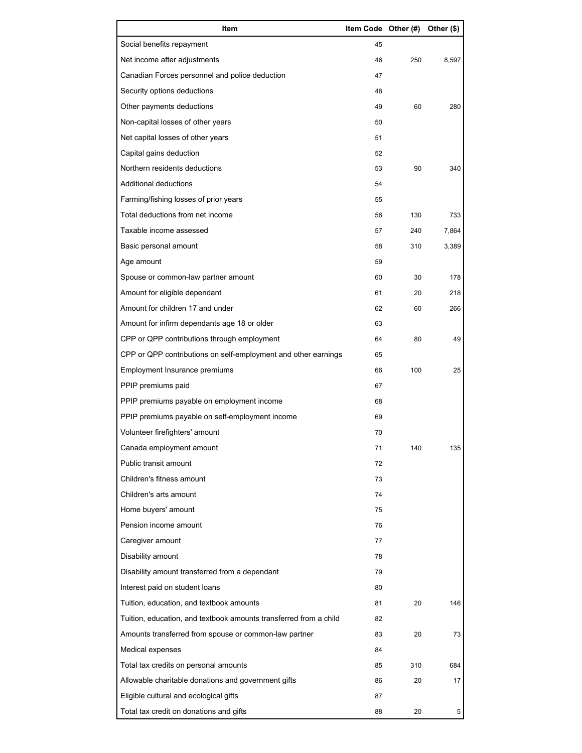| Item                                                              | Item Code Other (#) |     | Other (\$) |
|-------------------------------------------------------------------|---------------------|-----|------------|
| Social benefits repayment                                         | 45                  |     |            |
| Net income after adjustments                                      | 46                  | 250 | 8,597      |
| Canadian Forces personnel and police deduction                    | 47                  |     |            |
| Security options deductions                                       | 48                  |     |            |
| Other payments deductions                                         | 49                  | 60  | 280        |
| Non-capital losses of other years                                 | 50                  |     |            |
| Net capital losses of other years                                 | 51                  |     |            |
| Capital gains deduction                                           | 52                  |     |            |
| Northern residents deductions                                     | 53                  | 90  | 340        |
| Additional deductions                                             | 54                  |     |            |
| Farming/fishing losses of prior years                             | 55                  |     |            |
| Total deductions from net income                                  | 56                  | 130 | 733        |
| Taxable income assessed                                           | 57                  | 240 | 7,864      |
| Basic personal amount                                             | 58                  | 310 | 3,389      |
| Age amount                                                        | 59                  |     |            |
| Spouse or common-law partner amount                               | 60                  | 30  | 178        |
| Amount for eligible dependant                                     | 61                  | 20  | 218        |
| Amount for children 17 and under                                  | 62                  | 60  | 266        |
| Amount for infirm dependants age 18 or older                      | 63                  |     |            |
| CPP or QPP contributions through employment                       | 64                  | 80  | 49         |
| CPP or QPP contributions on self-employment and other earnings    | 65                  |     |            |
| Employment Insurance premiums                                     | 66                  | 100 | 25         |
| PPIP premiums paid                                                | 67                  |     |            |
| PPIP premiums payable on employment income                        | 68                  |     |            |
| PPIP premiums payable on self-employment income                   | 69                  |     |            |
| Volunteer firefighters' amount                                    | 70                  |     |            |
| Canada employment amount                                          | 71                  | 140 | 135        |
| Public transit amount                                             | 72                  |     |            |
| Children's fitness amount                                         | 73                  |     |            |
| Children's arts amount                                            | 74                  |     |            |
| Home buyers' amount                                               | 75                  |     |            |
| Pension income amount                                             | 76                  |     |            |
| Caregiver amount                                                  | 77                  |     |            |
| Disability amount                                                 | 78                  |     |            |
| Disability amount transferred from a dependant                    | 79                  |     |            |
| Interest paid on student loans                                    | 80                  |     |            |
| Tuition, education, and textbook amounts                          | 81                  | 20  | 146        |
| Tuition, education, and textbook amounts transferred from a child | 82                  |     |            |
| Amounts transferred from spouse or common-law partner             | 83                  | 20  | 73         |
| Medical expenses                                                  | 84                  |     |            |
| Total tax credits on personal amounts                             | 85                  | 310 | 684        |
| Allowable charitable donations and government gifts               | 86                  | 20  | 17         |
| Eligible cultural and ecological gifts                            | 87                  |     |            |
| Total tax credit on donations and gifts                           | 88                  | 20  | 5          |